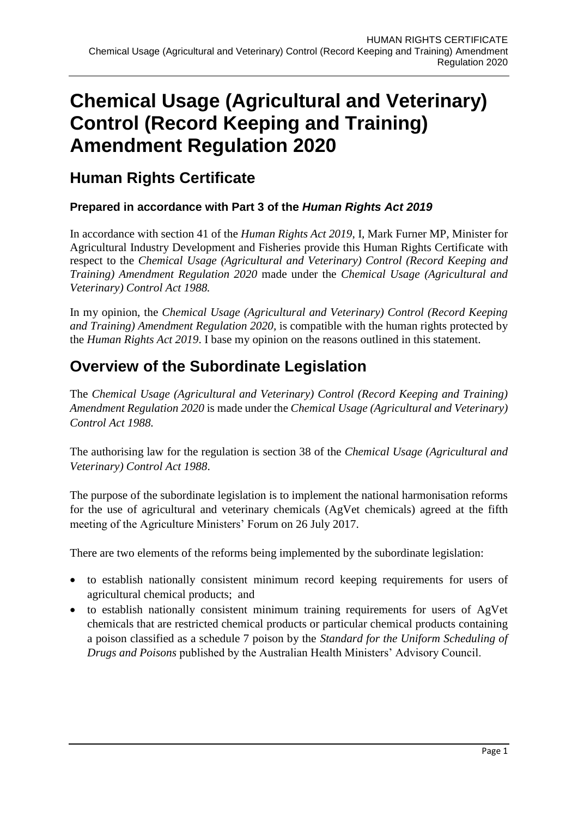# **Chemical Usage (Agricultural and Veterinary) Control (Record Keeping and Training) Amendment Regulation 2020**

### **Human Rights Certificate**

#### **Prepared in accordance with Part 3 of the** *Human Rights Act 2019*

In accordance with section 41 of the *Human Rights Act 2019*, I, Mark Furner MP, Minister for Agricultural Industry Development and Fisheries provide this Human Rights Certificate with respect to the *Chemical Usage (Agricultural and Veterinary) Control (Record Keeping and Training) Amendment Regulation 2020* made under the *Chemical Usage (Agricultural and Veterinary) Control Act 1988.* 

In my opinion, the *Chemical Usage (Agricultural and Veterinary) Control (Record Keeping and Training) Amendment Regulation 2020,* is compatible with the human rights protected by the *Human Rights Act 2019*. I base my opinion on the reasons outlined in this statement.

### **Overview of the Subordinate Legislation**

The *Chemical Usage (Agricultural and Veterinary) Control (Record Keeping and Training) Amendment Regulation 2020* is made under the *Chemical Usage (Agricultural and Veterinary) Control Act 1988.* 

The authorising law for the regulation is section 38 of the *Chemical Usage (Agricultural and Veterinary) Control Act 1988*.

The purpose of the subordinate legislation is to implement the national harmonisation reforms for the use of agricultural and veterinary chemicals (AgVet chemicals) agreed at the fifth meeting of the Agriculture Ministers' Forum on 26 July 2017.

There are two elements of the reforms being implemented by the subordinate legislation:

- to establish nationally consistent minimum record keeping requirements for users of agricultural chemical products; and
- to establish nationally consistent minimum training requirements for users of AgVet chemicals that are restricted chemical products or particular chemical products containing a poison classified as a schedule 7 poison by the *Standard for the Uniform Scheduling of Drugs and Poisons* published by the Australian Health Ministers' Advisory Council.